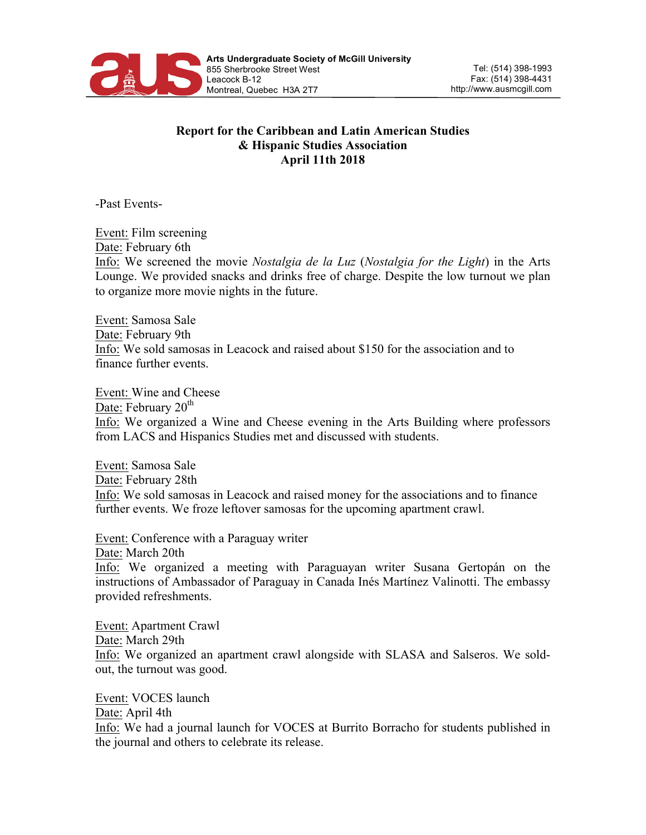

## **Report for the Caribbean and Latin American Studies & Hispanic Studies Association April 11th 2018**

-Past Events-

Event: Film screening Date: February 6th Info: We screened the movie *Nostalgia de la Luz* (*Nostalgia for the Light*) in the Arts Lounge. We provided snacks and drinks free of charge. Despite the low turnout we plan to organize more movie nights in the future.

Event: Samosa Sale Date: February 9th Info: We sold samosas in Leacock and raised about \$150 for the association and to finance further events.

Event: Wine and Cheese Date: February  $20<sup>th</sup>$ Info: We organized a Wine and Cheese evening in the Arts Building where professors from LACS and Hispanics Studies met and discussed with students.

Event: Samosa Sale Date: February 28th Info: We sold samosas in Leacock and raised money for the associations and to finance further events. We froze leftover samosas for the upcoming apartment crawl.

Event: Conference with a Paraguay writer Date: March 20th Info: We organized a meeting with Paraguayan writer Susana Gertopán on the instructions of Ambassador of Paraguay in Canada Inés Martínez Valinotti. The embassy provided refreshments.

Event: Apartment Crawl Date: March 29th Info: We organized an apartment crawl alongside with SLASA and Salseros. We soldout, the turnout was good.

Event: VOCES launch Date: April 4th Info: We had a journal launch for VOCES at Burrito Borracho for students published in the journal and others to celebrate its release.